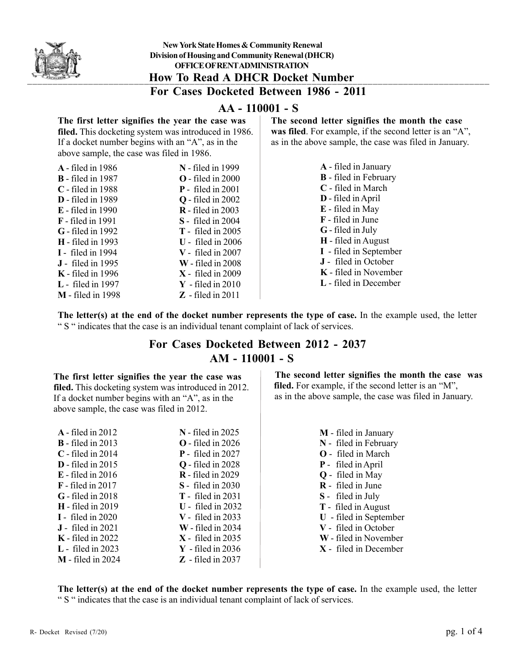

## **AA - 110001 - S**

### **The first letter signifies the year the case was filed.** This docketing system was introduced in 1986. If a docket number begins with an "A", as in the above sample, the case was filed in 1986.

| <b>A</b> - filed in 1986 | $N$ - filed in 1999          |
|--------------------------|------------------------------|
| <b>B</b> - filed in 1987 | $\Omega$ - filed in 2000     |
| $C$ - filed in 1988      | $P$ - filed in 2001          |
| <b>D</b> - filed in 1989 | $Q$ - filed in 2002          |
| <b>E</b> - filed in 1990 | $\mathbf{R}$ - filed in 2003 |
| <b>F</b> - filed in 1991 | <b>S</b> - filed in 2004     |
| <b>G</b> - filed in 1992 | $T -$ filed in 2005          |
| <b>H</b> - filed in 1993 | $U$ - filed in 2006          |
| <b>I</b> - filed in 1994 | $V -$ filed in 2007          |
| <b>J</b> - filed in 1995 | $W$ - filed in 2008          |
| $K$ - filed in 1996      | $X - \text{ filed in } 2009$ |
| <b>L</b> - filed in 1997 | $Y$ - filed in 2010          |
| <b>M</b> - filed in 1998 | $Z$ - filed in 2011          |
|                          |                              |

### **The second letter signifies the month the case**

was filed. For example, if the second letter is an "A", as in the above sample, the case was filed in January.

| A - filed in January         |
|------------------------------|
| <b>B</b> - filed in February |
| C - filed in March           |
| D - filed in April           |
| E - filed in May             |
| <b>F</b> - filed in June     |
| <b>G</b> - filed in July     |
| <b>H</b> - filed in August   |
| I - filed in September       |
| <b>J</b> - filed in October  |
| <b>K</b> - filed in November |
| L - filed in December        |

**The letter(s) at the end of the docket number represents the type of case.** In the example used, the letter " S " indicates that the case is an individual tenant complaint of lack of services.

# **For Cases Docketed Between 2012 - 2037 AM - 110001 - S**

### **The first letter signifies the year the case was**

**filed.** This docketing system was introduced in 2012. If a docket number begins with an "A", as in the above sample, the case was filed in 2012.

| $A$ - filed in 2012          | <b>N</b> - filed in 2025 |
|------------------------------|--------------------------|
| $\mathbf{B}$ - filed in 2013 | $\Omega$ - filed in 2026 |
| $C$ - filed in 2014          | $P$ - filed in 2027      |
| $D$ - filed in 2015          | <b>Q</b> - filed in 2028 |
| $E$ - filed in 2016          | <b>R</b> - filed in 2029 |
| $\bf{F}$ - filed in 2017     | <b>S</b> - filed in 2030 |
| $G$ - filed in 2018          | $T -$ filed in 2031      |
| $H$ - filed in 2019          | $U$ - filed in 2032      |
| $I -$ filed in 2020          | $V -$ filed in 2033      |
| $J$ - filed in 2021          | $W$ - filed in 2034      |
| $K$ - filed in 2022          | $X$ - filed in 2035      |
| $L$ - filed in 2023          | $Y$ - filed in 2036      |
| $M$ - filed in 2024          | $Z$ - filed in 2037      |

 **The second letter signifies the month the case was** filed. For example, if the second letter is an "M", as in the above sample, the case was filed in January.

> **M** - filed in January **N** - filed in February **O** - filed in March **P** - filed in April **Q** - filed in May **R** - filed in June **S** - filed in July **T** - filed in August **U** - filed in September **V** - filed in October **W** - filed in November **X** - filed in December

**The letter(s) at the end of the docket number represents the type of case.** In the example used, the letter " S " indicates that the case is an individual tenant complaint of lack of services.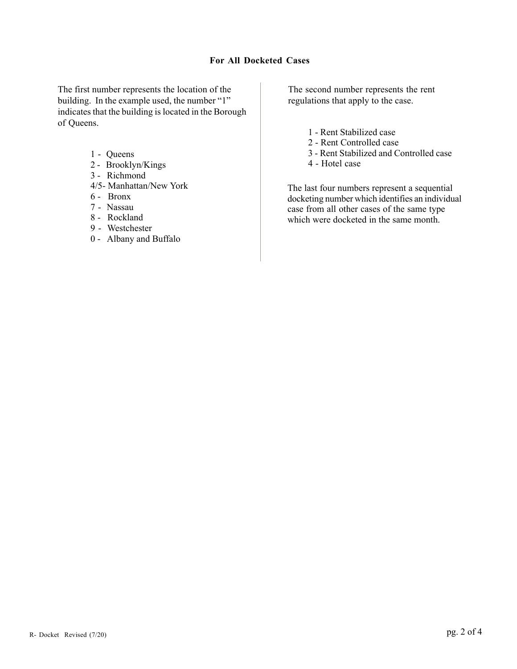### **For All Docketed Cases**

The first number represents the location of the building. In the example used, the number "1" indicates that the building is located in the Borough of Queens.

- 1 Queens
- 2 Brooklyn/Kings
- 3 Richmond
- 4/5- Manhattan/New York
- 6 Bronx
- 7 Nassau
- 8 Rockland
- 9 Westchester
- 0 Albany and Buffalo

The second number represents the rent regulations that apply to the case.

- 1 Rent Stabilized case
- 2 Rent Controlled case
- 3 Rent Stabilized and Controlled case
- 4 Hotel case

The last four numbers represent a sequential docketing number which identifies an individual case from all other cases of the same type which were docketed in the same month.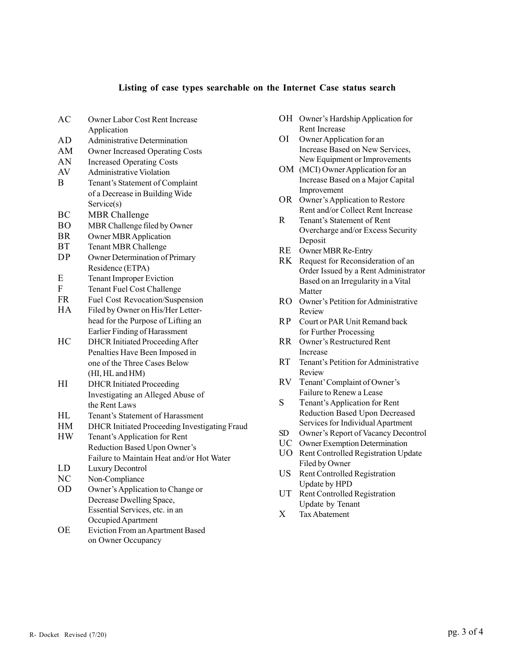#### **Listing of case types searchable on the Internet Case status search**

- AC Owner Labor Cost Rent Increase Application AD Administrative Determination AM Owner Increased Operating Costs AN Increased Operating Costs AV Administrative Violation B Tenant's Statement of Complaint of a Decrease in Building Wide Service(s) BC MBR Challenge BO MBR Challenge filed by Owner BR Owner MBR Application BT Tenant MBR Challenge DP Owner Determination of Primary Residence (ETPA) E Tenant Improper Eviction F Tenant Fuel Cost Challenge FR Fuel Cost Revocation/Suspension HA Filed by Owner on His/Her Letterhead for the Purpose of Lifting an Earlier Finding of Harassment HC DHCR Initiated Proceeding After Penalties Have Been Imposed in one of the Three Cases Below (HI, HL and HM) HI DHCR Initiated Proceeding Investigating an Alleged Abuse of the Rent Laws HL Tenant's Statement of Harassment HM DHCR Initiated Proceeding Investigating Fraud HW Tenant's Application for Rent Reduction Based Upon Owner's Failure to Maintain Heat and/or Hot Water LD Luxury Decontrol NC Non-Compliance OD Owner's Application to Change or Decrease Dwelling Space, Essential Services, etc. in an Occupied Apartment OE Eviction From an Apartment Based on Owner Occupancy
- OH Owner's Hardship Application for Rent Increase
- OI Owner Application for an Increase Based on New Services, New Equipment or Improvements
- OM (MCI) Owner Application for an Increase Based on a Major Capital Improvement
- OR Owner's Application to Restore Rent and/or Collect Rent Increase
- R Tenant's Statement of Rent Overcharge and/or Excess Security Deposit
- RE Owner MBR Re-Entry
- RK Request for Reconsideration of an Order Issued by a Rent Administrator Based on an Irregularity in a Vital Matter
- RO Owner's Petition for Administrative Review
- RP Court or PAR Unit Remand back for Further Processing
- RR Owner's Restructured Rent Increase
- RT Tenant's Petition for Administrative Review
- RV Tenant' Complaint of Owner's Failure to Renew a Lease
- S Tenant's Application for Rent Reduction Based Upon Decreased Services for Individual Apartment
- SD Owner's Report of Vacancy Decontrol
- UC Owner Exemption Determination
- UO Rent Controlled Registration Update Filed by Owner
- US Rent Controlled Registration Update by HPD
- UT Rent Controlled Registration Update by Tenant
- X Tax Abatement